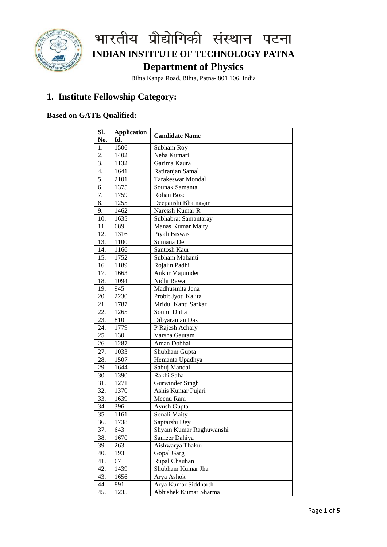

Bihta Kanpa Road, Bihta, Patna- 801 106, India

#### **1. Institute Fellowship Category:**

#### **Based on GATE Qualified:**

| Sl.<br>No. | <b>Application</b><br>Id. | <b>Candidate Name</b>    |  |
|------------|---------------------------|--------------------------|--|
| 1.         | 1506                      | Subham Roy               |  |
| 2.         | 1402                      | Neha Kumari              |  |
| 3.         | 1132                      | Garima Kaura             |  |
| 4.         | 1641                      | Ratiranjan Samal         |  |
| 5.         | 2101                      | <b>Tarakeswar Mondal</b> |  |
| 6.         | 1375                      | Sounak Samanta           |  |
| 7.         | 1759                      | Rohan Bose               |  |
| 8.         | 1255                      | Deepanshi Bhatnagar      |  |
| 9.         | 1462                      | Naressh Kumar R          |  |
| 10.        | 1635                      | Subhabrat Samantaray     |  |
| 11.        | 689                       | <b>Manas Kumar Maity</b> |  |
| 12.        | 1316                      | Piyali Biswas            |  |
| 13.        | 1100                      | Sumana De                |  |
| 14.        | 1166                      | Santosh Kaur             |  |
| 15.        | 1752                      | Subham Mahanti           |  |
| 16.        | 1189                      | Rojalin Padhi            |  |
| 17.        | 1663                      | Ankur Majumder           |  |
| 18.        | 1094                      | Nidhi Rawat              |  |
| 19.        | 945                       | Madhusmita Jena          |  |
| 20.        | 2230                      | Probit Jyoti Kalita      |  |
| 21.        | 1787                      | Mridul Kanti Sarkar      |  |
| 22.        | 1265                      | Soumi Dutta              |  |
| 23.        | 810                       | Dibyaranjan Das          |  |
| 24.        | 1779                      | P Rajesh Achary          |  |
| 25.        | 130                       | Varsha Gautam            |  |
| 26.        | 1287                      | Aman Dobhal              |  |
| 27.        | 1033                      | Shubham Gupta            |  |
| 28.        | 1507                      | Hemanta Upadhya          |  |
| 29.        | 1644                      | Sabuj Mandal             |  |
| 30.        | 1390                      | Rakhi Saha               |  |
| 31.        | 1271                      | <b>Gurwinder Singh</b>   |  |
| 32.        | 1370                      | Ashis Kumar Pujari       |  |
| 33.        | 1639                      | Meenu Rani               |  |
| 34.        | 396                       | Ayush Gupta              |  |
| 35.        | 1161                      | Sonali Maity             |  |
| 36.        | 1738                      | Saptarshi Dey            |  |
| 37.        | 643                       | Shyam Kumar Raghuwanshi  |  |
| 38.        | 1670                      | Sameer Dahiya            |  |
| 39.        | 263                       | Aishwarya Thakur         |  |
| 40.        | 193                       | Gopal Garg               |  |
| 41.        | 67                        | Rupal Chauhan            |  |
| 42.        | 1439                      | Shubham Kumar Jha        |  |
| 43.        | 1656                      | Arya Ashok               |  |
| 44.        | 891                       | Arya Kumar Siddharth     |  |
| 45.        | 1235                      | Abhishek Kumar Sharma    |  |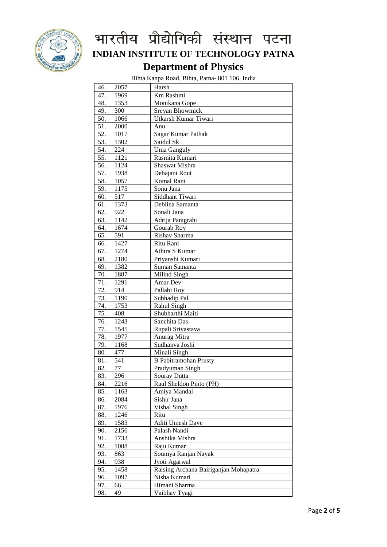

Bihta Kanpa Road, Bihta, Patna- 801 106, India

| 46.        | 2057         | Harsh                                 |  |
|------------|--------------|---------------------------------------|--|
| 47.        | 1969         | Km Rashmi                             |  |
| 48.        | 1353         | Monikana Gope                         |  |
| 49.        | 300          | Sreyan Bhowmick                       |  |
| 50.        | 1066         | Utkarsh Kumar Tiwari                  |  |
| 51.        | 2000         | Anu                                   |  |
| 52.        | 1017         | Sagar Kumar Pathak                    |  |
| 53.        | 1302         | Saidul Sk                             |  |
| 54.        | 224          | Uma Ganguly                           |  |
| 55.        | 1121         | Rasmita Kumari                        |  |
| 56.        | 1124         | Shaswat Mishra                        |  |
| 57.        | 1938         |                                       |  |
| 58.        | 1057         | Debajani Rout<br>Komal Rani           |  |
| 59.        | 1175         | Sonu Jana                             |  |
| 60.        | 517          | Siddhant Tiwari                       |  |
| 61.        | 1373         | Deblina Samanta                       |  |
| 62.        | 922          | Sonali Jana                           |  |
| 63.        | 1142         | Adrija Panigrahi                      |  |
| 64.        | 1674         | Gourab Roy                            |  |
| 65.        | 591          | Rishav Sharma                         |  |
| 66.        | 1427         | Ritu Rani                             |  |
| 67.        | 1274         | Athira S Kumar                        |  |
| 68.        | 2180         | Priyanshi Kumari                      |  |
| 69.        | 1382         | Suman Samanta                         |  |
| 70.        | 1887         | Milind Singh                          |  |
| 71.        | 1291         | Amar Dev                              |  |
| 72.        | 914          | Pallabi Roy                           |  |
| 73.        | 1190         | Subhadip Pal                          |  |
| 74.        | 1753         | Rahul Singh                           |  |
| 75.        | 408          | Shubharthi Maiti                      |  |
| 76.        | 1243         | Sanchita Das                          |  |
| 77.        | 1545         | Rupali Srivastava                     |  |
| 78.        | 1977         | Anurag Mitra                          |  |
| 79.        | 1168         | Sudhanva Joshi                        |  |
| 80.        | 477          | Minali Singh                          |  |
| 81.        | 541          | <b>B</b> Pabitramohan Prusty          |  |
| 82.        | 77           | Pradyuman Singh                       |  |
| 83.        | 296          | Sourav Dutta                          |  |
| 84.        | 2216         | Raul Sheldon Pinto (PH)               |  |
| 85.        | 1163         | Amiya Mandal                          |  |
| 86.        | 2084         | Sishir Jana                           |  |
| 87.        | 1976         | Vishal Singh                          |  |
| 88.        | 1246         | Ritu                                  |  |
| 89.        | 1583         | Aditi Umesh Dave                      |  |
|            |              | Palash Nandi                          |  |
| 90.<br>91. | 2156<br>1733 | Anshika Mishra                        |  |
| 92.        |              |                                       |  |
|            | 1088         | Raju Kumar                            |  |
| 93.        | 863          | Soumya Ranjan Nayak                   |  |
| 94.        | 938          | Jyoti Agarwal                         |  |
| 95.        | 1458         | Raising Archana Bairiganjan Mohapatra |  |
| 96.        | 1097         | Nisha Kumari                          |  |
| 97.        | 66           | Himani Sharma                         |  |
| 98.        | 49           | Vaibhav Tyagi                         |  |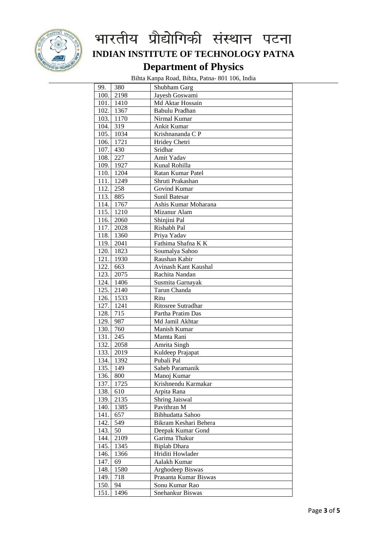

Bihta Kanpa Road, Bihta, Patna- 801 106, India

| 99.      | 380         | Shubham Garg          |
|----------|-------------|-----------------------|
| 100.     | 2198        | Jayesh Goswami        |
|          | $101.$ 1410 | Md Aktar Hossain      |
|          | 102. 1367   | Babulu Pradhan        |
|          | 103. 1170   | Nirmal Kumar          |
| 104. 319 |             | Ankit Kumar           |
|          | 105. 1034   | Krishnananda C P      |
|          | 106. 1721   | Hridey Chetri         |
| 107.     | 430         | Sridhar               |
| 108.     | 227         | Amit Yadav            |
|          | 109. 1927   | Kunal Rohilla         |
|          | 110. 1204   | Ratan Kumar Patel     |
|          | 111. 1249   | Shruti Prakashan      |
| 112.     | 258         | Govind Kumar          |
| 113.     | 885         | Sunil Batesar         |
| 114.     | 1767        | Ashis Kumar Moharana  |
| 115.     | 1210        | Mizanur Alam          |
| 116.     | 2060        | Shinjini Pal          |
| 117.     | 2028        | Rishabh Pal           |
|          |             |                       |
| 118.     | 1360        | Priya Yadav           |
| 119.     | 2041        | Fathima Shafna K K    |
| 120.     | 1823        | Soumalya Sahoo        |
| 121.     | 1930        | Raushan Kabir         |
| 122.     | 663         | Avinash Kant Kaushal  |
| 123.     | 2075        | Rachita Nandan        |
| 124.     | 1406        | Susmita Garnayak      |
| 125.     | 2140        | Tarun Chanda          |
| 126.     | 1533        | Ritu                  |
| 127.     | 1241        | Ritosree Sutradhar    |
| 128.     | 715         | Partha Pratim Das     |
| 129.     | 987         | Md Jamil Akhtar       |
| 130.     | 760         | Manish Kumar          |
| 131.     | 245         | Mamta Rani            |
| 132.     | 2058        | Amrita Singh          |
| 133.     | 2019        | Kuldeep Prajapat      |
| 134.     | 1392        | Pubali Pal            |
| 135.     | 149         | Saheb Paramanik       |
| 136.     | 800         | Manoj Kumar           |
| 137.     | 1725        | Krishnendu Karmakar   |
| 138.     | 610         | Arpita Rana           |
| 139.     | 2135        | Shring Jaiswal        |
| 140.     | 1385        | Pavithran M           |
| 141.     | 657         | Bibhudatta Sahoo      |
| 142.     | 549         | Bikram Keshari Behera |
| 143.     | 50          | Deepak Kumar Gond     |
| 144.     | 2109        | Garima Thakur         |
| 145.     | 1345        | <b>Biplab Dhara</b>   |
| 146.     |             |                       |
|          | 1366        | Hriditi Howlader      |
| 147.     | 69          | Aalakh Kumar          |
| 148.     | 1580        | Arghodeep Biswas      |
| 149.     | 718         | Prasanta Kumar Biswas |
| 150.     | 94          | Sonu Kumar Rao        |
| 151.     | 1496        | Snehankur Biswas      |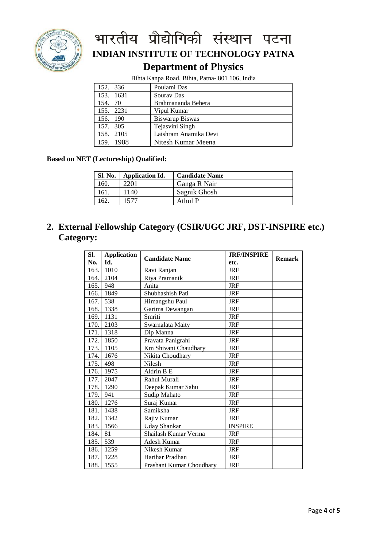

Bihta Kanpa Road, Bihta, Patna- 801 106, India

| 152. | 336  | Poulami Das           |
|------|------|-----------------------|
| 153. | 1631 | Souray Das            |
| 154. | 70   | Brahmananda Behera    |
| 155. | 2231 | Vipul Kumar           |
| 156. | 190  | Biswarup Biswas       |
| 157. | 305  | Tejasvini Singh       |
| 158. | 2105 | Laishram Anamika Devi |
| 159. | 1908 | Nitesh Kumar Meena    |

#### **Based on NET (Lectureship) Qualified:**

| Sl. No. | <b>Application Id.</b> | <b>Candidate Name</b> |
|---------|------------------------|-----------------------|
| 160.    | 2201                   | Ganga R Nair          |
| 161.    | 1140                   | Sagnik Ghosh          |
| 62.     | 1577                   | Athul P               |

#### **2. External Fellowship Category (CSIR/UGC JRF, DST-INSPIRE etc.) Category:**

| <b>Application</b><br>SI. |      | <b>Candidate Name</b>    | <b>JRF/INSPIRE</b> | <b>Remark</b> |
|---------------------------|------|--------------------------|--------------------|---------------|
| No.                       | Id.  |                          | etc.               |               |
| 163.                      | 1010 | Ravi Ranjan              | <b>JRF</b>         |               |
| 164.                      | 2104 | Riya Pramanik            | <b>JRF</b>         |               |
| 165.                      | 948  | Anita                    | <b>JRF</b>         |               |
| 166.                      | 1849 | Shubhashish Pati         | <b>JRF</b>         |               |
| 167.                      | 538  | Himangshu Paul           | <b>JRF</b>         |               |
| 168.                      | 1338 | Garima Dewangan          | <b>JRF</b>         |               |
| 169.                      | 1131 | Smriti                   | <b>JRF</b>         |               |
| 170.                      | 2103 | Swarnalata Maity         | <b>JRF</b>         |               |
| 171.                      | 1318 | Dip Manna                | <b>JRF</b>         |               |
| 172.                      | 1850 | Pravata Panigrahi        | <b>JRF</b>         |               |
| 173.                      | 1105 | Km Shivani Chaudhary     | <b>JRF</b>         |               |
| 174.                      | 1676 | Nikita Choudhary         | <b>JRF</b>         |               |
| 175.                      | 498  | Nilesh                   | <b>JRF</b>         |               |
| 176.                      | 1975 | Aldrin B E               | <b>JRF</b>         |               |
| 177.                      | 2047 | Rahul Murali             | <b>JRF</b>         |               |
| 178.                      | 1290 | Deepak Kumar Sahu        | <b>JRF</b>         |               |
| 179.                      | 941  | Sudip Mahato             | <b>JRF</b>         |               |
| 180.                      | 1276 | Suraj Kumar              | <b>JRF</b>         |               |
| 181.                      | 1438 | Samiksha                 | <b>JRF</b>         |               |
| 182.                      | 1342 | Rajiv Kumar              | <b>JRF</b>         |               |
| 183.                      | 1566 | <b>Uday Shankar</b>      | <b>INSPIRE</b>     |               |
| 184.                      | 81   | Shailash Kumar Verma     | <b>JRF</b>         |               |
| 185.                      | 539  | Adesh Kumar              | <b>JRF</b>         |               |
| 186.                      | 1259 | Nikesh Kumar             | <b>JRF</b>         |               |
| 187.                      | 1228 | Harihar Pradhan          | <b>JRF</b>         |               |
| 188.                      | 1555 | Prashant Kumar Choudhary | <b>JRF</b>         |               |